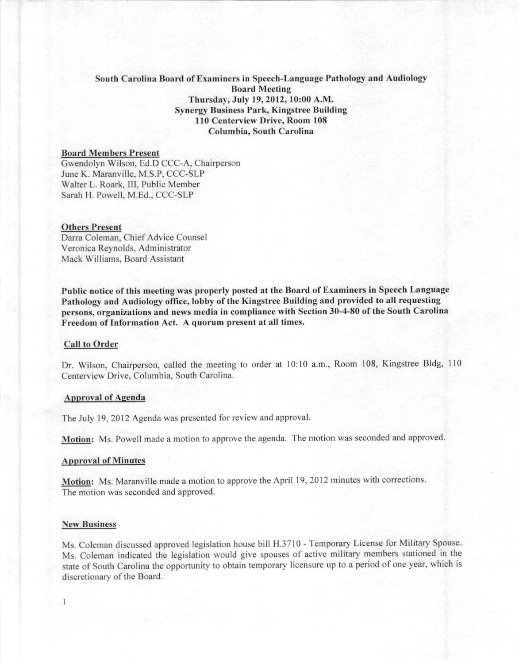# South Carolina Board of Examiners in Speech-Language Pathology and Audiology **Board Meeting** Thursday, July 19, 2012, 10:00 A.M. Synergy Business Park, Kingstree Building **110 Centerview Drive, Room 108** Columbia, Soutb Carolina

### **Board 1\1cI1Ihers Present**

Gwendolyn Wilson, Ed.D CCC-A, Chairperson June K. Maranville, M.S.P, CCC-SLP Walter L. Roark, Ill, Public Member Sarah H. Powell, M.Ed., CCC-SLP

#### Others Present

Darra Coleman, Chief Advice Counsel Veronica Reynolds, Administrator Mack Williams, Board Assistant

Public notice of this meeting was properly posted at the Board of Examiners in Speech Language Pathology and Audiology office, lobby of the Kingstree Building and provided to all requesting **persons, organizations and news media in compliance with Section 30-4-80 of the South Carolina Freedom** of **Information** Act. A quorum present at all times.

## Call to Order

Dr. Wilson, Chairperson, called the meeting to order at 10:10 a.m., Room 108, Kingstree Bldg, 110 Centerview Drive, Columbia, South Carolina.

### Approval of Agenda

The July 19,2012 Agenda was presented for review and approval.

Motion: Ms. Powell made a motion to approve the agenda. The motion was seconded and approved.

#### **Approval** of **Minutes**

Motion: Ms. Maranville made a motion to approve the April 19,2012 minutes with corrections. The motion was seconded and approved.

#### **New Business**

Ms. Coleman discussed approved legislation house bill H.3710 - Temporary License for Military Spouse. Ms. Coleman indicated the legislation would give spouses of active military members stationed in the state of South Carolina the opportunity to obtain temporary licensure up to a period of one year, which is discretionary of the Board.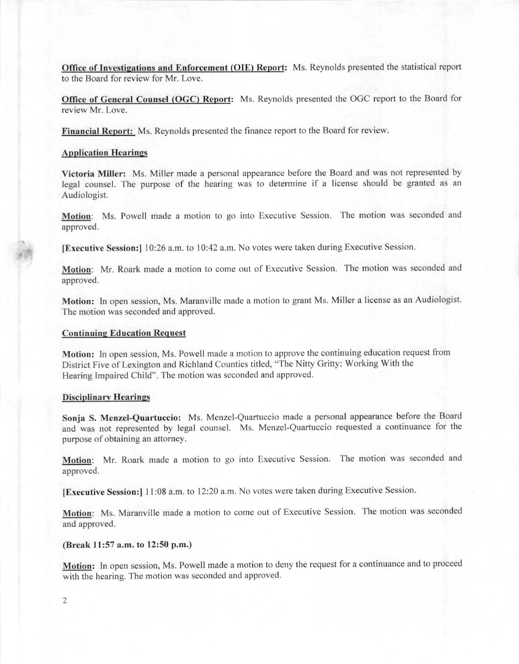Office of Investigations and Enforcement (OIE) Report: Ms. Reynolds presented the statistical report to the Board for review for Mr. Love.

Office of General Counsel (OGC) Report: Ms. Reynolds presented the OGC report to the Board for review Mr. Love.

Financial Report: Ms. Reynolds presented the finance report to the Board for review.

## **Application Hearings**

Victoria Miller: Ms. Miller made a personal appearance before the Board and was not represented by legal counsel. The purpose of the hearing was to determine if a license should be granted as an Audiologist.

Motion: Ms. Powell made a motion to go into Executive Session. The motion was seconded and approved.

**[Executive Session:]** 10:26 a.m. to 10:42 a.m. No votes were taken during Executive Session.

Motion: Mr. Roark made a motion to come out of Executive Session. The motion was seconded and approved.

Motion: In open session, Ms. Maranville made a motion to grant Ms. Miller a license as an Audiologist. The motion was seconded and approved.

# **Continuing Education Request**

Motion: In open session, Ms. Powell made a motion to approve the continuing education request from District Five of Lexington and Richland Counties titled, "The Nitty Gritty: Working With the Hearing Impaired Child". The motion was seconded and approved.

### Disciplinary Hearings

Sonja S. Menzel-Quartuceio: Ms. Menzel-Quartuccio made a personal appearance before the Board and was not represented by legal counsel. Ms. Menzel-Quartuccio requested a continuance for the purpose of obtaining an attorney.

Motion: Mr. Roark made a motion to go into Executive Session. The motion was seconded and approved.

IExeeutive Session:! II :08 a.m. to 12:20 a.m. No votes were taken during Executive Session.

Motion: Ms. Maranville made a motion to come out of Executive Session. The motion was seconded and approved.

## (Break 11:57 a.m. to 12:50 p.m.)

Motion: In open scssion, Ms. Powell made a motion to deny the request for a continuance and to proceed with the hearing. The motion was seconded and approved.